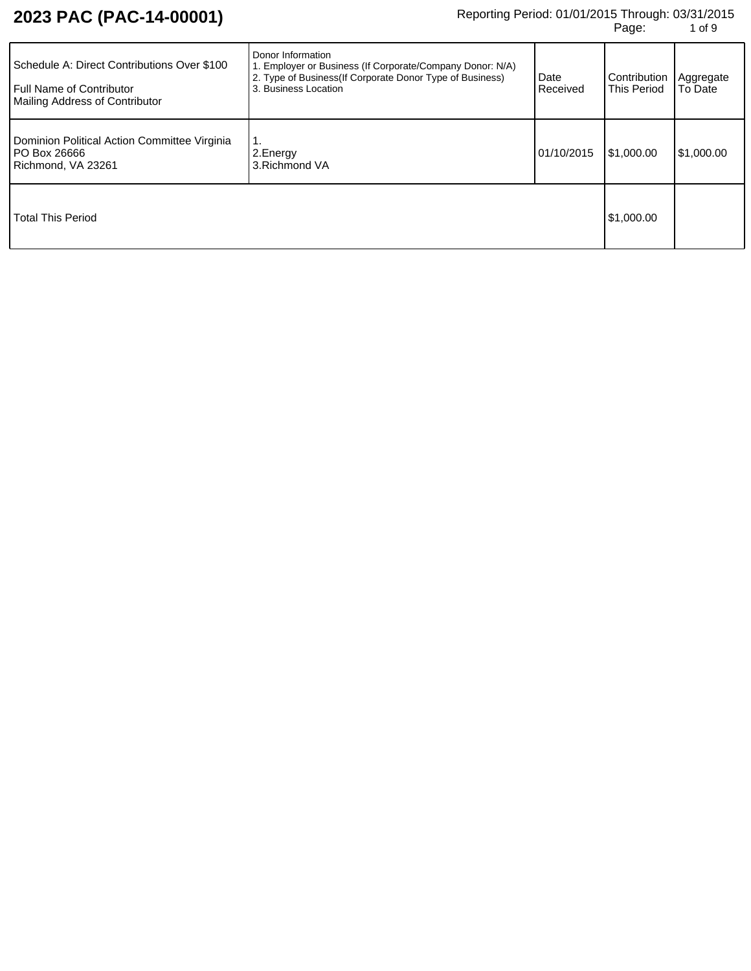# Reporting Period: 01/01/2015 Through: 03/31/2015 **PAC (PAC-14-00001)** هي المسابق المسابق المسابق المسابق المسابق<br>1 of 9 of 9

| Schedule A: Direct Contributions Over \$100<br><b>Full Name of Contributor</b><br><b>Mailing Address of Contributor</b> | Donor Information<br>1. Employer or Business (If Corporate/Company Donor: N/A)<br>2. Type of Business(If Corporate Donor Type of Business)<br>3. Business Location | Date<br>Received | Contribution<br>This Period | Aggregate<br>To Date |
|-------------------------------------------------------------------------------------------------------------------------|--------------------------------------------------------------------------------------------------------------------------------------------------------------------|------------------|-----------------------------|----------------------|
| Dominion Political Action Committee Virginia<br>PO Box 26666<br>Richmond, VA 23261                                      | 1.<br>2. Energy<br>3. Richmond VA                                                                                                                                  | 01/10/2015       | \$1,000.00                  | \$1,000.00           |
| <b>Total This Period</b>                                                                                                |                                                                                                                                                                    |                  | \$1,000.00                  |                      |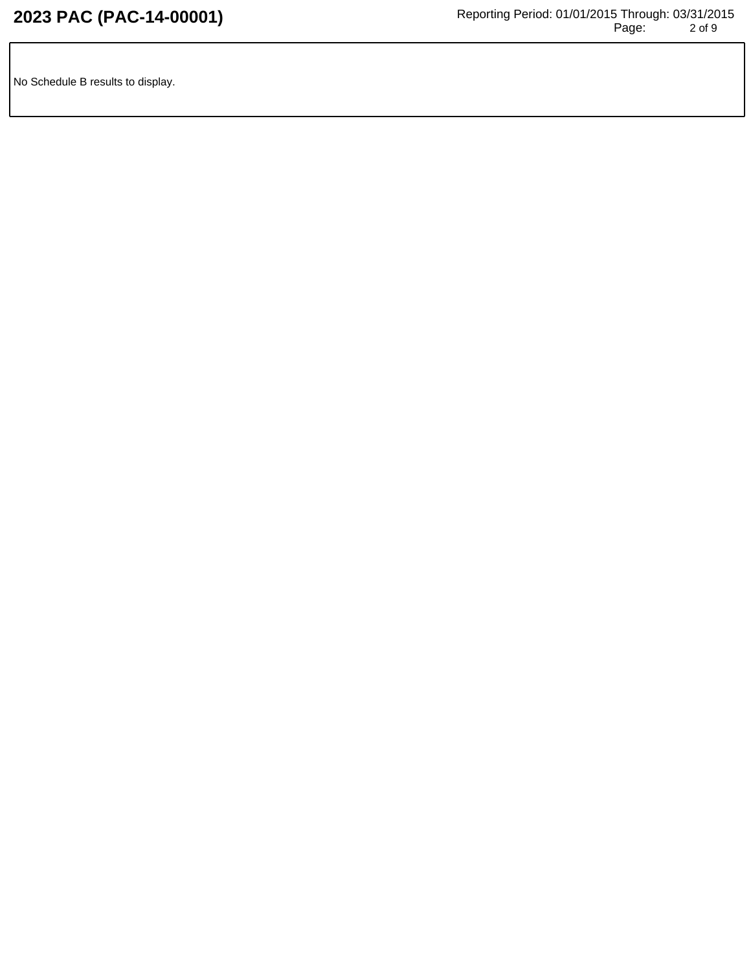No Schedule B results to display.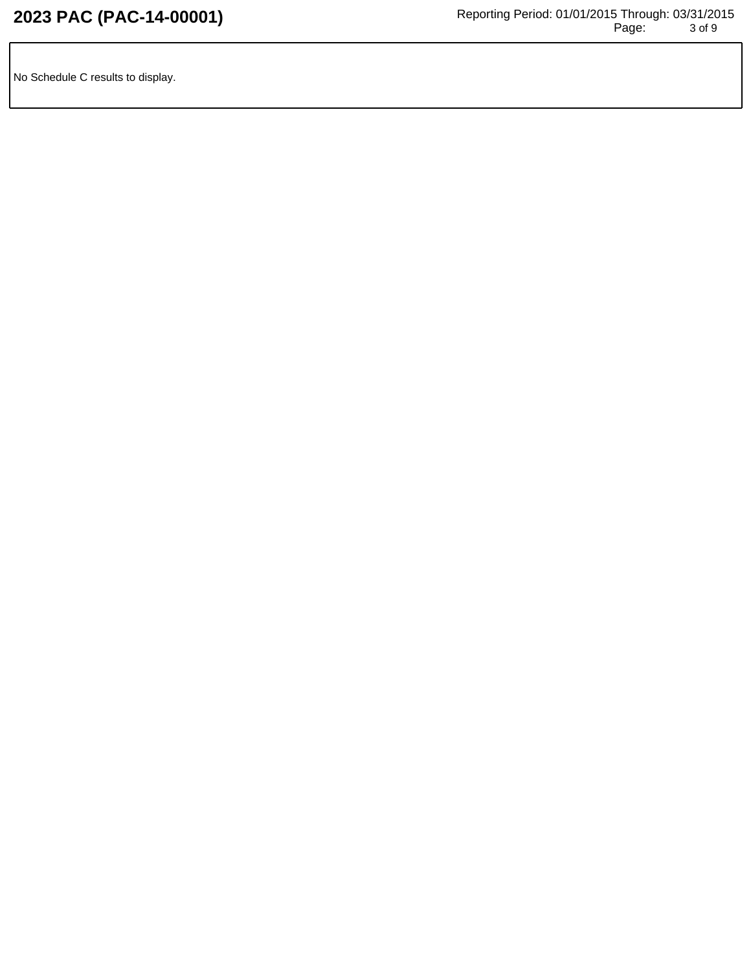No Schedule C results to display.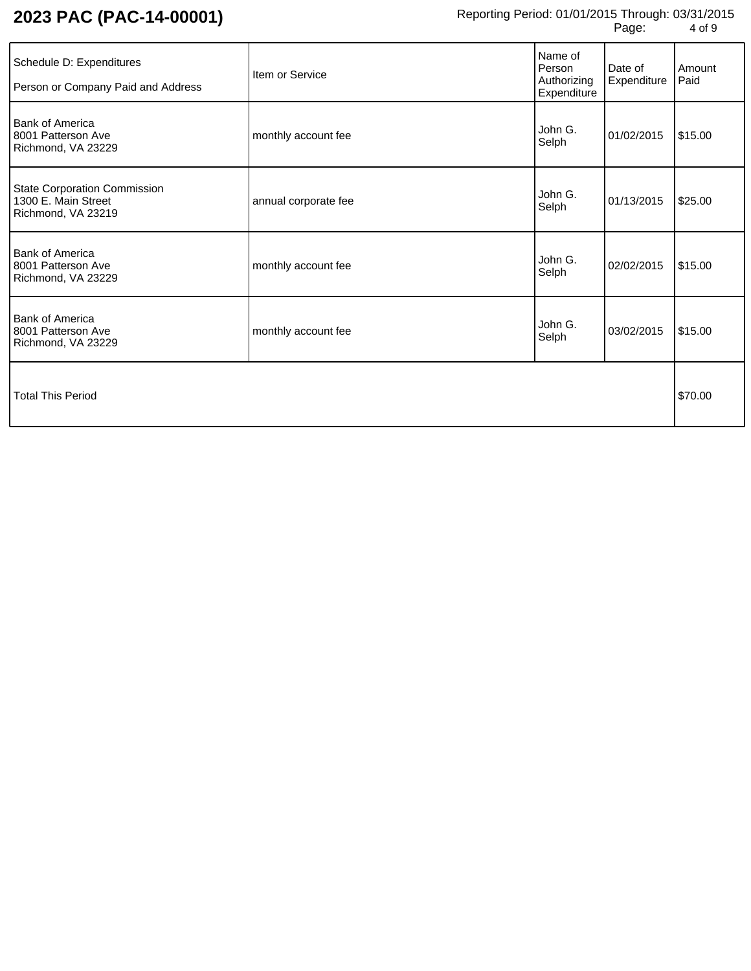| Schedule D: Expenditures<br>Person or Company Paid and Address            | Item or Service      | Name of<br>Person<br>Authorizing<br>Expenditure | Date of<br>Expenditure | Amount<br>Paid |
|---------------------------------------------------------------------------|----------------------|-------------------------------------------------|------------------------|----------------|
| <b>Bank of America</b><br>8001 Patterson Ave<br>Richmond, VA 23229        | monthly account fee  | John G.<br>Selph                                | 01/02/2015             | \$15.00        |
| State Corporation Commission<br>1300 E. Main Street<br>Richmond, VA 23219 | annual corporate fee | John G.<br>Selph                                | 01/13/2015             | \$25.00        |
| <b>Bank of America</b><br>8001 Patterson Ave<br>Richmond, VA 23229        | monthly account fee  | John G.<br>Selph                                | 02/02/2015             | \$15.00        |
| <b>Bank of America</b><br>8001 Patterson Ave<br>Richmond, VA 23229        | monthly account fee  | John G.<br>Selph                                | 03/02/2015             | \$15.00        |
| Total This Period                                                         |                      |                                                 |                        | \$70.00        |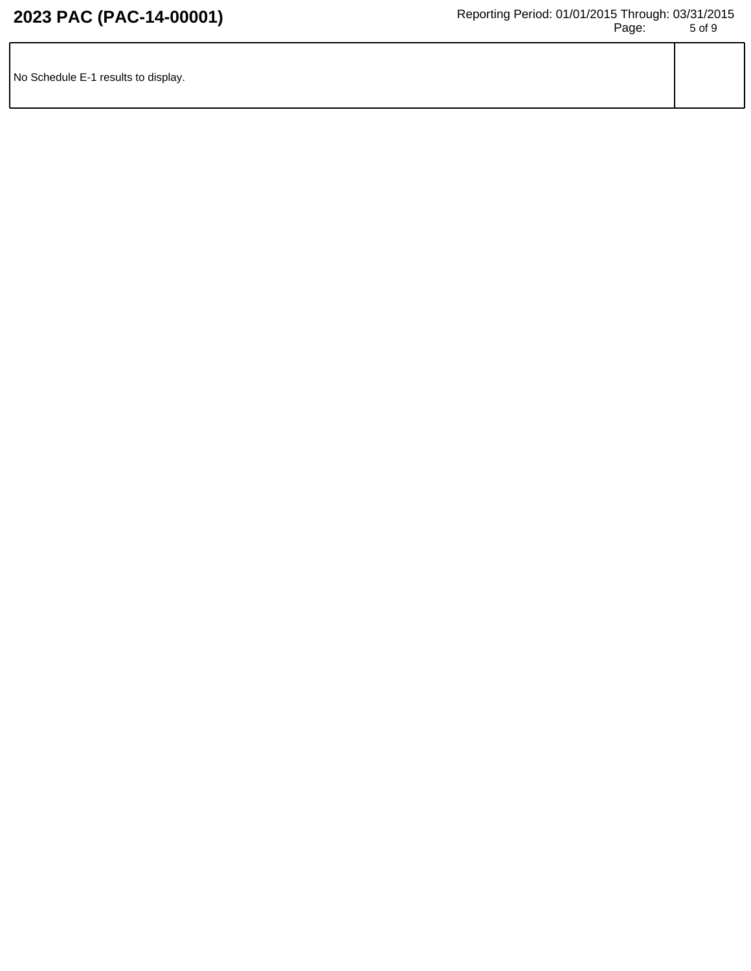| No Schedule E-1 results to display. |  |
|-------------------------------------|--|
|                                     |  |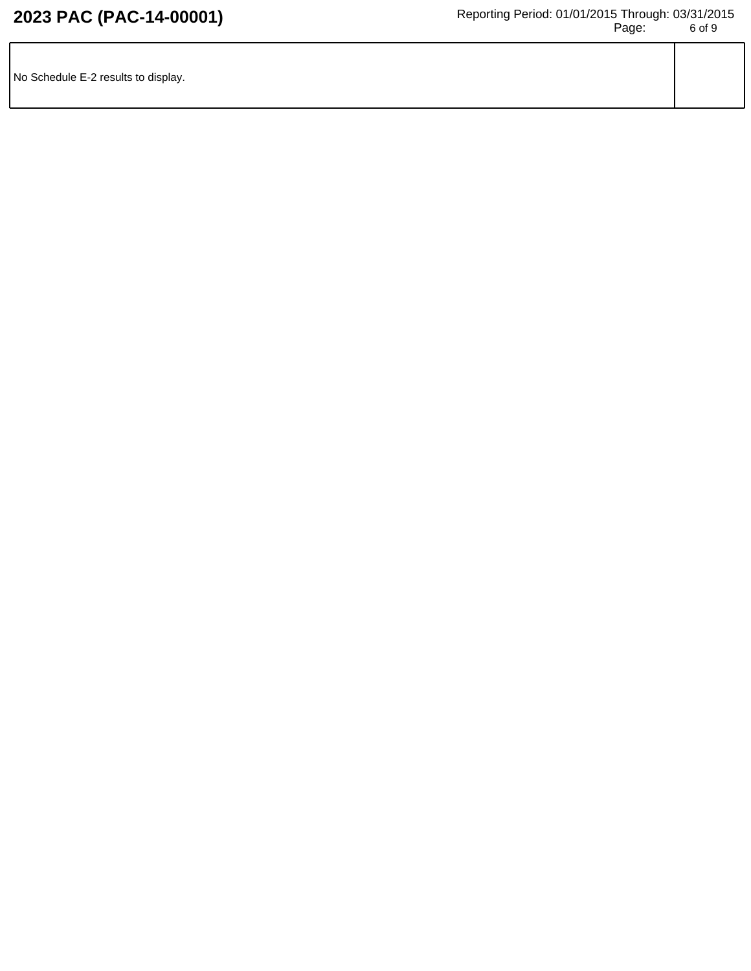| No Schedule E-2 results to display. |  |
|-------------------------------------|--|
|                                     |  |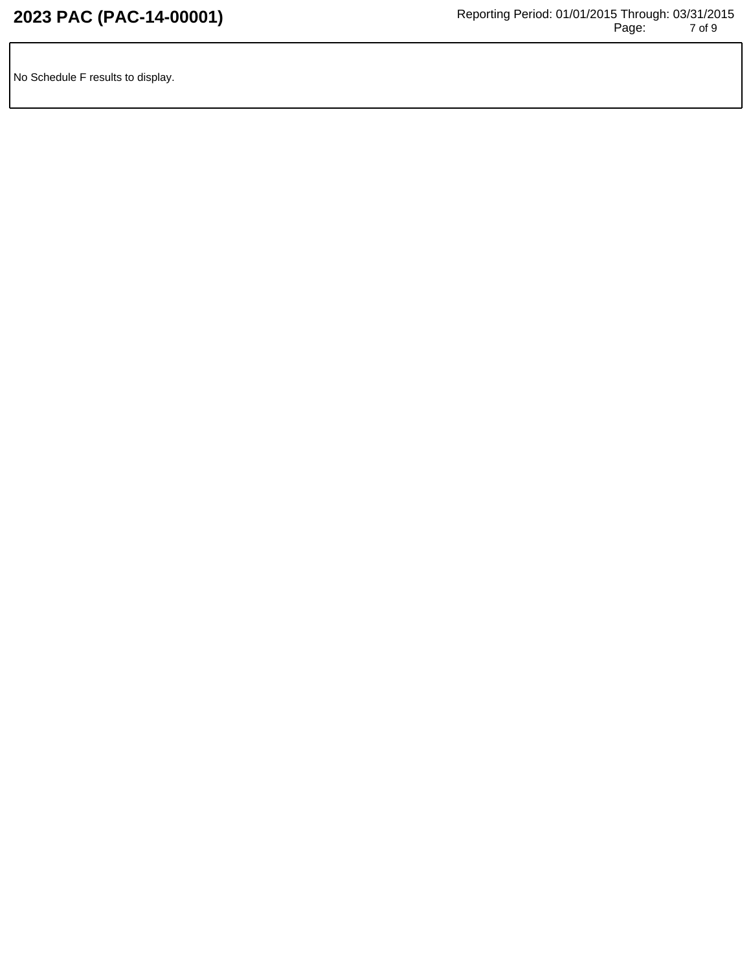No Schedule F results to display.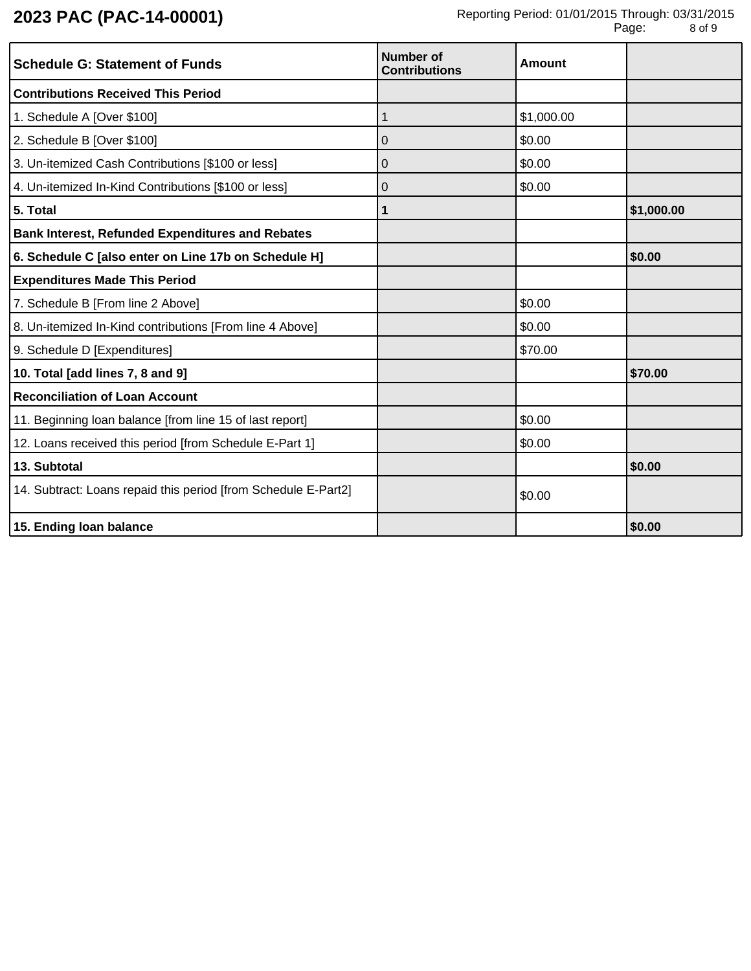| <b>Schedule G: Statement of Funds</b>                          | <b>Number of</b><br><b>Contributions</b> | Amount     |            |
|----------------------------------------------------------------|------------------------------------------|------------|------------|
| <b>Contributions Received This Period</b>                      |                                          |            |            |
| 1. Schedule A [Over \$100]                                     | 1                                        | \$1,000.00 |            |
| 2. Schedule B [Over \$100]                                     | 0                                        | \$0.00     |            |
| 3. Un-itemized Cash Contributions [\$100 or less]              | 0                                        | \$0.00     |            |
| 4. Un-itemized In-Kind Contributions [\$100 or less]           | 0                                        | \$0.00     |            |
| 5. Total                                                       | 1                                        |            | \$1,000.00 |
| <b>Bank Interest, Refunded Expenditures and Rebates</b>        |                                          |            |            |
| 6. Schedule C [also enter on Line 17b on Schedule H]           |                                          |            | \$0.00     |
| <b>Expenditures Made This Period</b>                           |                                          |            |            |
| 7. Schedule B [From line 2 Above]                              |                                          | \$0.00     |            |
| 8. Un-itemized In-Kind contributions [From line 4 Above]       |                                          | \$0.00     |            |
| 9. Schedule D [Expenditures]                                   |                                          | \$70.00    |            |
| 10. Total [add lines 7, 8 and 9]                               |                                          |            | \$70.00    |
| <b>Reconciliation of Loan Account</b>                          |                                          |            |            |
| 11. Beginning loan balance [from line 15 of last report]       |                                          | \$0.00     |            |
| 12. Loans received this period [from Schedule E-Part 1]        |                                          | \$0.00     |            |
| 13. Subtotal                                                   |                                          |            | \$0.00     |
| 14. Subtract: Loans repaid this period [from Schedule E-Part2] |                                          | \$0.00     |            |
| 15. Ending loan balance                                        |                                          |            | \$0.00     |